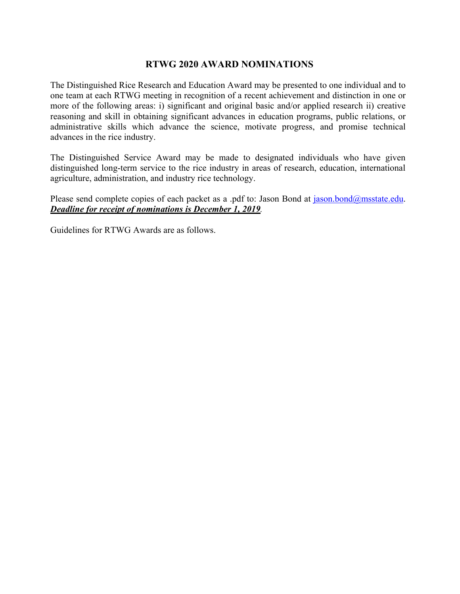## **RTWG 2020 AWARD NOMINATIONS**

The Distinguished Rice Research and Education Award may be presented to one individual and to one team at each RTWG meeting in recognition of a recent achievement and distinction in one or more of the following areas: i) significant and original basic and/or applied research ii) creative reasoning and skill in obtaining significant advances in education programs, public relations, or administrative skills which advance the science, motivate progress, and promise technical advances in the rice industry.

The Distinguished Service Award may be made to designated individuals who have given distinguished long-term service to the rice industry in areas of research, education, international agriculture, administration, and industry rice technology.

Please send complete copies of each packet as a .pdf to: Jason Bond at jason.bond@msstate.edu. *Deadline for receipt of nominations is December 1, 2019.* 

Guidelines for RTWG Awards are as follows.